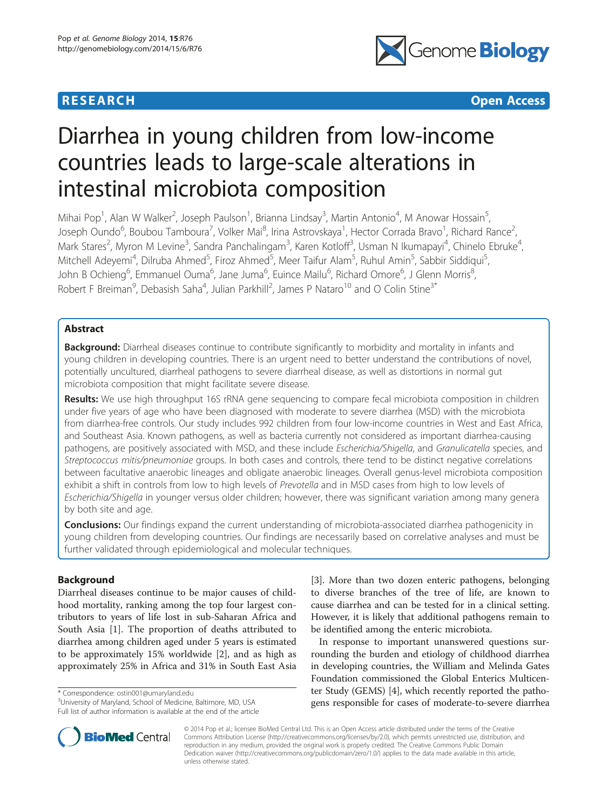## **RESEARCH CHEAR CHEAR CHEAR CHEAR CHEAR CHEAR CHEAR CHEAR CHEAR CHEAR CHEAR CHEAR CHEAR CHEAR CHEAR CHEAR CHEAR**



# Diarrhea in young children from low-income countries leads to large-scale alterations in intestinal microbiota composition

Mihai Pop<sup>1</sup>, Alan W Walker<sup>2</sup>, Joseph Paulson<sup>1</sup>, Brianna Lindsay<sup>3</sup>, Martin Antonio<sup>4</sup>, M Anowar Hossain<sup>5</sup> , Joseph Oundo<sup>6</sup>, Boubou Tamboura<sup>7</sup>, Volker Mai<sup>8</sup>, Irina Astrovskaya<sup>1</sup>, Hector Corrada Bravo<sup>1</sup>, Richard Rance<sup>2</sup> , Mark Stares<sup>2</sup>, Myron M Levine<sup>3</sup>, Sandra Panchalingam<sup>3</sup>, Karen Kotloff<sup>3</sup>, Usman N Ikumapayi<sup>4</sup>, Chinelo Ebruke<sup>4</sup> , Mitchell Adeyemi<sup>4</sup>, Dilruba Ahmed<sup>5</sup>, Firoz Ahmed<sup>5</sup>, Meer Taifur Alam<sup>5</sup>, Ruhul Amin<sup>5</sup>, Sabbir Siddiqui<sup>5</sup> , John B Ochieng<sup>6</sup>, Emmanuel Ouma<sup>6</sup>, Jane Juma<sup>6</sup>, Euince Mailu<sup>6</sup>, Richard Omore<sup>6</sup>, J Glenn Morris<sup>8</sup> , Robert F Breiman<sup>9</sup>, Debasish Saha<sup>4</sup>, Julian Parkhill<sup>2</sup>, James P Nataro<sup>10</sup> and O Colin Stine<sup>3\*</sup>

## Abstract

**Background:** Diarrheal diseases continue to contribute significantly to morbidity and mortality in infants and young children in developing countries. There is an urgent need to better understand the contributions of novel, potentially uncultured, diarrheal pathogens to severe diarrheal disease, as well as distortions in normal gut microbiota composition that might facilitate severe disease.

Results: We use high throughput 16S rRNA gene sequencing to compare fecal microbiota composition in children under five years of age who have been diagnosed with moderate to severe diarrhea (MSD) with the microbiota from diarrhea-free controls. Our study includes 992 children from four low-income countries in West and East Africa, and Southeast Asia. Known pathogens, as well as bacteria currently not considered as important diarrhea-causing pathogens, are positively associated with MSD, and these include Escherichia/Shigella, and Granulicatella species, and Streptococcus mitis/pneumoniae groups. In both cases and controls, there tend to be distinct negative correlations between facultative anaerobic lineages and obligate anaerobic lineages. Overall genus-level microbiota composition exhibit a shift in controls from low to high levels of Prevotella and in MSD cases from high to low levels of Escherichia/Shigella in younger versus older children; however, there was significant variation among many genera by both site and age.

Conclusions: Our findings expand the current understanding of microbiota-associated diarrhea pathogenicity in young children from developing countries. Our findings are necessarily based on correlative analyses and must be further validated through epidemiological and molecular techniques.

## Background

Diarrheal diseases continue to be major causes of childhood mortality, ranking among the top four largest contributors to years of life lost in sub-Saharan Africa and South Asia [\[1](#page-9-0)]. The proportion of deaths attributed to diarrhea among children aged under 5 years is estimated to be approximately 15% worldwide [[2\]](#page-9-0), and as high as approximately 25% in Africa and 31% in South East Asia

\* Correspondence: [ostin001@umaryland.edu](mailto:ostin001@umaryland.edu) <sup>3</sup>

<sup>3</sup>University of Maryland, School of Medicine, Baltimore, MD, USA Full list of author information is available at the end of the article



In response to important unanswered questions surrounding the burden and etiology of childhood diarrhea in developing countries, the William and Melinda Gates Foundation commissioned the Global Enterics Multicenter Study (GEMS) [[4\]](#page-9-0), which recently reported the pathogens responsible for cases of moderate-to-severe diarrhea



© 2014 Pop et al.; licensee BioMed Central Ltd. This is an Open Access article distributed under the terms of the Creative Commons Attribution License [\(http://creativecommons.org/licenses/by/2.0\)](http://creativecommons.org/licenses/by/2.0), which permits unrestricted use, distribution, and reproduction in any medium, provided the original work is properly credited. The Creative Commons Public Domain Dedication waiver [\(http://creativecommons.org/publicdomain/zero/1.0/](http://creativecommons.org/publicdomain/zero/1.0/)) applies to the data made available in this article, unless otherwise stated.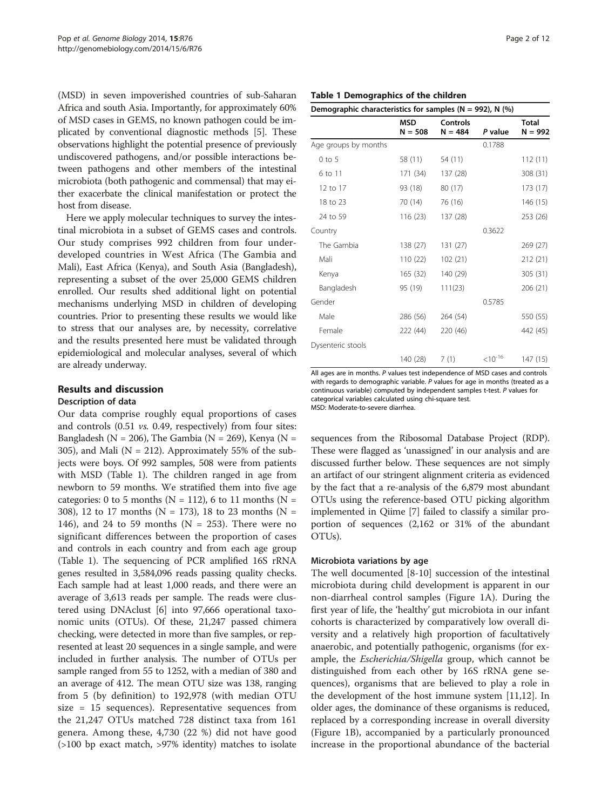(MSD) in seven impoverished countries of sub-Saharan Africa and south Asia. Importantly, for approximately 60% of MSD cases in GEMS, no known pathogen could be implicated by conventional diagnostic methods [[5](#page-9-0)]. These observations highlight the potential presence of previously undiscovered pathogens, and/or possible interactions between pathogens and other members of the intestinal microbiota (both pathogenic and commensal) that may either exacerbate the clinical manifestation or protect the host from disease.

Here we apply molecular techniques to survey the intestinal microbiota in a subset of GEMS cases and controls. Our study comprises 992 children from four underdeveloped countries in West Africa (The Gambia and Mali), East Africa (Kenya), and South Asia (Bangladesh), representing a subset of the over 25,000 GEMS children enrolled. Our results shed additional light on potential mechanisms underlying MSD in children of developing countries. Prior to presenting these results we would like to stress that our analyses are, by necessity, correlative and the results presented here must be validated through epidemiological and molecular analyses, several of which are already underway.

## Results and discussion

#### Description of data

Our data comprise roughly equal proportions of cases and controls (0.51 vs. 0.49, respectively) from four sites: Bangladesh ( $N = 206$ ), The Gambia ( $N = 269$ ), Kenya ( $N = 269$ 305), and Mali ( $N = 212$ ). Approximately 55% of the subjects were boys. Of 992 samples, 508 were from patients with MSD (Table 1). The children ranged in age from newborn to 59 months. We stratified them into five age categories: 0 to 5 months ( $N = 112$ ), 6 to 11 months ( $N =$ 308), 12 to 17 months ( $N = 173$ ), 18 to 23 months ( $N = 173$ ) 146), and 24 to 59 months ( $N = 253$ ). There were no significant differences between the proportion of cases and controls in each country and from each age group (Table 1). The sequencing of PCR amplified 16S rRNA genes resulted in 3,584,096 reads passing quality checks. Each sample had at least 1,000 reads, and there were an average of 3,613 reads per sample. The reads were clustered using DNAclust [[6\]](#page-9-0) into 97,666 operational taxonomic units (OTUs). Of these, 21,247 passed chimera checking, were detected in more than five samples, or represented at least 20 sequences in a single sample, and were included in further analysis. The number of OTUs per sample ranged from 55 to 1252, with a median of 380 and an average of 412. The mean OTU size was 138, ranging from 5 (by definition) to 192,978 (with median OTU size = 15 sequences). Representative sequences from the 21,247 OTUs matched 728 distinct taxa from 161 genera. Among these, 4,730 (22 %) did not have good (>100 bp exact match, >97% identity) matches to isolate

| Table 1 Demographics of the children |  |
|--------------------------------------|--|
|--------------------------------------|--|

|                      | Demographic characteristics for samples ( $N = 992$ ), N (%) |                       |              |                           |  |
|----------------------|--------------------------------------------------------------|-----------------------|--------------|---------------------------|--|
|                      | MSD<br>$N = 508$                                             | Controls<br>$N = 484$ | P value      | <b>Total</b><br>$N = 992$ |  |
| Age groups by months |                                                              |                       | 0.1788       |                           |  |
| $0$ to 5             | 58 (11)                                                      | 54 (11)               |              | 112(11)                   |  |
| 6 to 11              | 171 (34)                                                     | 137 (28)              |              | 308 (31)                  |  |
| 12 to 17             | 93 (18)                                                      | 80 (17)               |              | 173 (17)                  |  |
| 18 to 23             | 70 (14)                                                      | 76 (16)               |              | 146 (15)                  |  |
| 24 to 59             | 116(23)                                                      | 137 (28)              |              | 253 (26)                  |  |
| Country              |                                                              |                       | 0.3622       |                           |  |
| The Gambia           | 138 (27)                                                     | 131 (27)              |              | 269 (27)                  |  |
| Mali                 | 110(22)                                                      | 102(21)               |              | 212 (21)                  |  |
| Kenya                | 165(32)                                                      | 140 (29)              |              | 305 (31)                  |  |
| Bangladesh           | 95 (19)                                                      | 111(23)               |              | 206 (21)                  |  |
| Gender               |                                                              |                       | 0.5785       |                           |  |
| Male                 | 286 (56)                                                     | 264 (54)              |              | 550 (55)                  |  |
| Female               | 222 (44)                                                     | 220 (46)              |              | 442 (45)                  |  |
| Dysenteric stools    |                                                              |                       |              |                           |  |
|                      | 140 (28)                                                     | 7(1)                  | $< 10^{-16}$ | 147 (15)                  |  |

All ages are in months. P values test independence of MSD cases and controls with regards to demographic variable. P values for age in months (treated as a continuous variable) computed by independent samples t-test. P values for categorical variables calculated using chi-square test.

MSD: Moderate-to-severe diarrhea.

sequences from the Ribosomal Database Project (RDP). These were flagged as 'unassigned' in our analysis and are discussed further below. These sequences are not simply an artifact of our stringent alignment criteria as evidenced by the fact that a re-analysis of the 6,879 most abundant OTUs using the reference-based OTU picking algorithm implemented in Qiime [[7](#page-9-0)] failed to classify a similar proportion of sequences (2,162 or 31% of the abundant OTUs).

#### Microbiota variations by age

The well documented [[8-10](#page-9-0)] succession of the intestinal microbiota during child development is apparent in our non-diarrheal control samples (Figure [1](#page-2-0)A). During the first year of life, the 'healthy' gut microbiota in our infant cohorts is characterized by comparatively low overall diversity and a relatively high proportion of facultatively anaerobic, and potentially pathogenic, organisms (for example, the Escherichia/Shigella group, which cannot be distinguished from each other by 16S rRNA gene sequences), organisms that are believed to play a role in the development of the host immune system [\[11,12\]](#page-9-0). In older ages, the dominance of these organisms is reduced, replaced by a corresponding increase in overall diversity (Figure [1B](#page-2-0)), accompanied by a particularly pronounced increase in the proportional abundance of the bacterial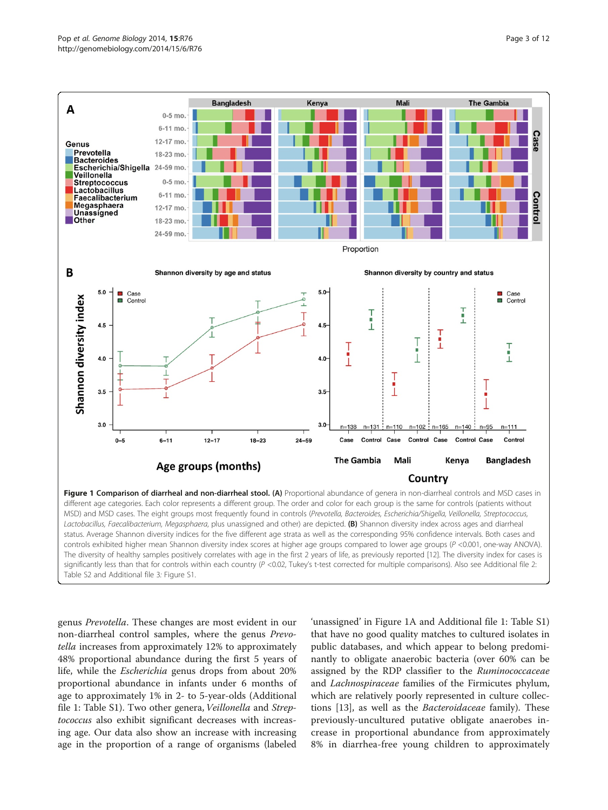<span id="page-2-0"></span>

genus Prevotella. These changes are most evident in our non-diarrheal control samples, where the genus Prevotella increases from approximately 12% to approximately 48% proportional abundance during the first 5 years of life, while the Escherichia genus drops from about 20% proportional abundance in infants under 6 months of age to approximately 1% in 2- to 5-year-olds (Additional file [1:](#page-9-0) Table S1). Two other genera, Veillonella and Streptococcus also exhibit significant decreases with increasing age. Our data also show an increase with increasing age in the proportion of a range of organisms (labeled

'unassigned' in Figure 1A and Additional file [1](#page-9-0): Table S1) that have no good quality matches to cultured isolates in public databases, and which appear to belong predominantly to obligate anaerobic bacteria (over 60% can be assigned by the RDP classifier to the Ruminococcaceae and Lachnospiraceae families of the Firmicutes phylum, which are relatively poorly represented in culture collec-tions [\[13\]](#page-9-0), as well as the *Bacteroidaceae* family). These previously-uncultured putative obligate anaerobes increase in proportional abundance from approximately 8% in diarrhea-free young children to approximately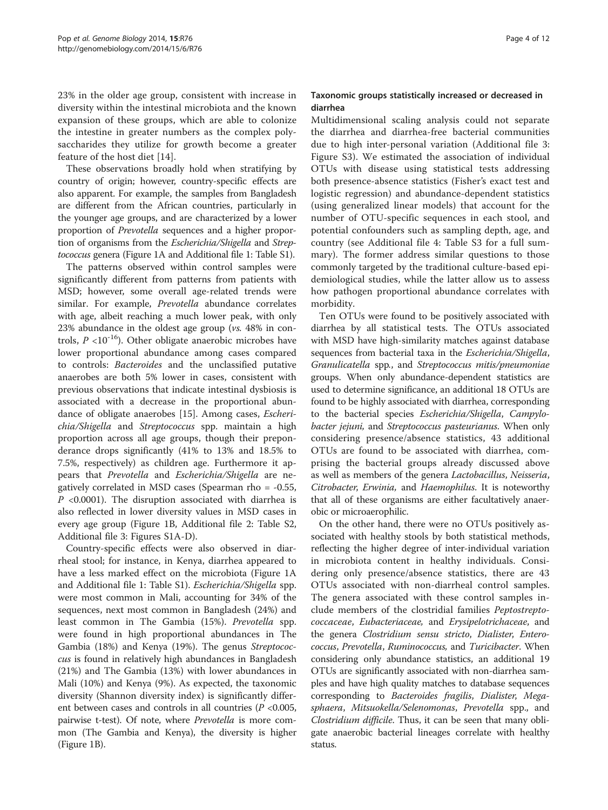23% in the older age group, consistent with increase in diversity within the intestinal microbiota and the known expansion of these groups, which are able to colonize the intestine in greater numbers as the complex polysaccharides they utilize for growth become a greater feature of the host diet [[14](#page-9-0)].

These observations broadly hold when stratifying by country of origin; however, country-specific effects are also apparent. For example, the samples from Bangladesh are different from the African countries, particularly in the younger age groups, and are characterized by a lower proportion of Prevotella sequences and a higher proportion of organisms from the Escherichia/Shigella and Streptococcus genera (Figure [1](#page-2-0)A and Additional file [1:](#page-9-0) Table S1).

The patterns observed within control samples were significantly different from patterns from patients with MSD; however, some overall age-related trends were similar. For example, Prevotella abundance correlates with age, albeit reaching a much lower peak, with only 23% abundance in the oldest age group (vs. 48% in controls,  $P < 10^{-16}$ ). Other obligate anaerobic microbes have lower proportional abundance among cases compared to controls: Bacteroides and the unclassified putative anaerobes are both 5% lower in cases, consistent with previous observations that indicate intestinal dysbiosis is associated with a decrease in the proportional abundance of obligate anaerobes [[15\]](#page-9-0). Among cases, Escherichia/Shigella and Streptococcus spp. maintain a high proportion across all age groups, though their preponderance drops significantly (41% to 13% and 18.5% to 7.5%, respectively) as children age. Furthermore it appears that Prevotella and Escherichia/Shigella are negatively correlated in MSD cases (Spearman rho = -0.55,  $P \leq 0.0001$ ). The disruption associated with diarrhea is also reflected in lower diversity values in MSD cases in every age group (Figure [1B](#page-2-0), Additional file [2](#page-9-0): Table S2, Additional file [3:](#page-9-0) Figures S1A-D).

Country-specific effects were also observed in diarrheal stool; for instance, in Kenya, diarrhea appeared to have a less marked effect on the microbiota (Figure [1A](#page-2-0) and Additional file [1](#page-9-0): Table S1). Escherichia/Shigella spp. were most common in Mali, accounting for 34% of the sequences, next most common in Bangladesh (24%) and least common in The Gambia (15%). Prevotella spp. were found in high proportional abundances in The Gambia (18%) and Kenya (19%). The genus Streptococcus is found in relatively high abundances in Bangladesh (21%) and The Gambia (13%) with lower abundances in Mali (10%) and Kenya (9%). As expected, the taxonomic diversity (Shannon diversity index) is significantly different between cases and controls in all countries ( $P$  <0.005, pairwise t-test). Of note, where Prevotella is more common (The Gambia and Kenya), the diversity is higher (Figure [1](#page-2-0)B).

## Taxonomic groups statistically increased or decreased in diarrhea

Multidimensional scaling analysis could not separate the diarrhea and diarrhea-free bacterial communities due to high inter-personal variation (Additional file [3](#page-9-0): Figure S3). We estimated the association of individual OTUs with disease using statistical tests addressing both presence-absence statistics (Fisher's exact test and logistic regression) and abundance-dependent statistics (using generalized linear models) that account for the number of OTU-specific sequences in each stool, and potential confounders such as sampling depth, age, and country (see Additional file [4:](#page-9-0) Table S3 for a full summary). The former address similar questions to those commonly targeted by the traditional culture-based epidemiological studies, while the latter allow us to assess how pathogen proportional abundance correlates with morbidity.

Ten OTUs were found to be positively associated with diarrhea by all statistical tests. The OTUs associated with MSD have high-similarity matches against database sequences from bacterial taxa in the *Escherichia/Shigella*, Granulicatella spp., and Streptococcus mitis/pneumoniae groups. When only abundance-dependent statistics are used to determine significance, an additional 18 OTUs are found to be highly associated with diarrhea, corresponding to the bacterial species Escherichia/Shigella, Campylobacter jejuni, and Streptococcus pasteurianus. When only considering presence/absence statistics, 43 additional OTUs are found to be associated with diarrhea, comprising the bacterial groups already discussed above as well as members of the genera Lactobacillus, Neisseria, Citrobacter, Erwinia, and Haemophilus. It is noteworthy that all of these organisms are either facultatively anaerobic or microaerophilic.

On the other hand, there were no OTUs positively associated with healthy stools by both statistical methods, reflecting the higher degree of inter-individual variation in microbiota content in healthy individuals. Considering only presence/absence statistics, there are 43 OTUs associated with non-diarrheal control samples. The genera associated with these control samples include members of the clostridial families Peptostreptococcaceae, Eubacteriaceae, and Erysipelotrichaceae, and the genera Clostridium sensu stricto, Dialister, Enterococcus, Prevotella, Ruminococcus, and Turicibacter. When considering only abundance statistics, an additional 19 OTUs are significantly associated with non-diarrhea samples and have high quality matches to database sequences corresponding to Bacteroides fragilis, Dialister, Megasphaera, Mitsuokella/Selenomonas, Prevotella spp., and Clostridium difficile. Thus, it can be seen that many obligate anaerobic bacterial lineages correlate with healthy status.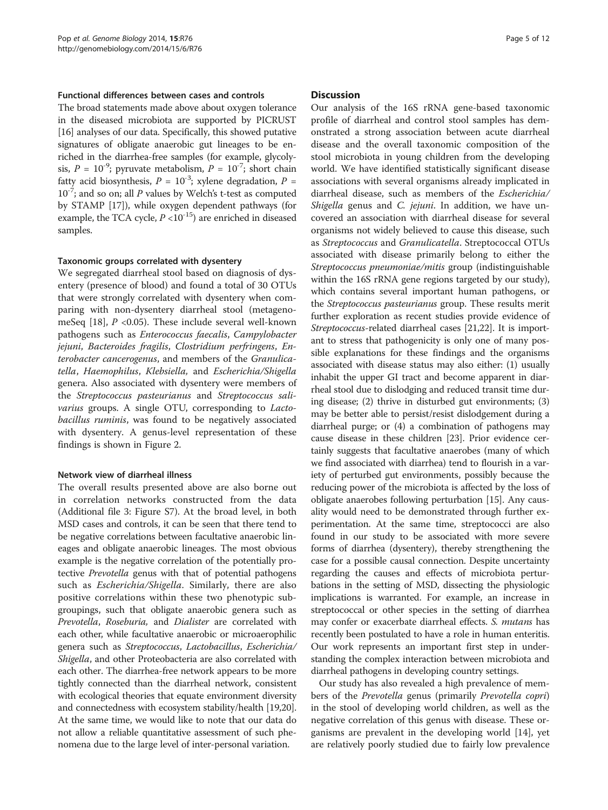#### Functional differences between cases and controls

The broad statements made above about oxygen tolerance in the diseased microbiota are supported by PICRUST [[16](#page-9-0)] analyses of our data. Specifically, this showed putative signatures of obligate anaerobic gut lineages to be enriched in the diarrhea-free samples (for example, glycolysis,  $P = 10^{-9}$ ; pyruvate metabolism,  $P = 10^{-7}$ ; short chain fatty acid biosynthesis,  $P = 10^{-3}$ ; xylene degradation,  $P =$  $10^{-7}$ ; and so on; all P values by Welch's t-test as computed by STAMP [\[17](#page-9-0)]), while oxygen dependent pathways (for example, the TCA cycle,  $P \le 10^{-15}$ ) are enriched in diseased samples.

#### Taxonomic groups correlated with dysentery

We segregated diarrheal stool based on diagnosis of dysentery (presence of blood) and found a total of 30 OTUs that were strongly correlated with dysentery when comparing with non-dysentery diarrheal stool (metageno-meSeq [[18\]](#page-9-0),  $P$  <0.05). These include several well-known pathogens such as Enterococcus faecalis, Campylobacter jejuni, Bacteroides fragilis, Clostridium perfringens, Enterobacter cancerogenus, and members of the Granulicatella, Haemophilus, Klebsiella, and Escherichia/Shigella genera. Also associated with dysentery were members of the Streptococcus pasteurianus and Streptococcus salivarius groups. A single OTU, corresponding to Lactobacillus ruminis, was found to be negatively associated with dysentery. A genus-level representation of these findings is shown in Figure [2](#page-5-0).

#### Network view of diarrheal illness

The overall results presented above are also borne out in correlation networks constructed from the data (Additional file [3](#page-9-0): Figure S7). At the broad level, in both MSD cases and controls, it can be seen that there tend to be negative correlations between facultative anaerobic lineages and obligate anaerobic lineages. The most obvious example is the negative correlation of the potentially protective Prevotella genus with that of potential pathogens such as Escherichia/Shigella. Similarly, there are also positive correlations within these two phenotypic subgroupings, such that obligate anaerobic genera such as Prevotella, Roseburia, and Dialister are correlated with each other, while facultative anaerobic or microaerophilic genera such as Streptococcus, Lactobacillus, Escherichia/ Shigella, and other Proteobacteria are also correlated with each other. The diarrhea-free network appears to be more tightly connected than the diarrheal network, consistent with ecological theories that equate environment diversity and connectedness with ecosystem stability/health [\[19,20](#page-10-0)]. At the same time, we would like to note that our data do not allow a reliable quantitative assessment of such phenomena due to the large level of inter-personal variation.

#### **Discussion**

Our analysis of the 16S rRNA gene-based taxonomic profile of diarrheal and control stool samples has demonstrated a strong association between acute diarrheal disease and the overall taxonomic composition of the stool microbiota in young children from the developing world. We have identified statistically significant disease associations with several organisms already implicated in diarrheal disease, such as members of the Escherichia/ Shigella genus and C. jejuni. In addition, we have uncovered an association with diarrheal disease for several organisms not widely believed to cause this disease, such as Streptococcus and Granulicatella. Streptococcal OTUs associated with disease primarily belong to either the Streptococcus pneumoniae/mitis group (indistinguishable within the 16S rRNA gene regions targeted by our study), which contains several important human pathogens, or the Streptococcus pasteurianus group. These results merit further exploration as recent studies provide evidence of Streptococcus-related diarrheal cases [\[21,22](#page-10-0)]. It is important to stress that pathogenicity is only one of many possible explanations for these findings and the organisms associated with disease status may also either: (1) usually inhabit the upper GI tract and become apparent in diarrheal stool due to dislodging and reduced transit time during disease; (2) thrive in disturbed gut environments; (3) may be better able to persist/resist dislodgement during a diarrheal purge; or (4) a combination of pathogens may cause disease in these children [\[23](#page-10-0)]. Prior evidence certainly suggests that facultative anaerobes (many of which we find associated with diarrhea) tend to flourish in a variety of perturbed gut environments, possibly because the reducing power of the microbiota is affected by the loss of obligate anaerobes following perturbation [\[15](#page-9-0)]. Any causality would need to be demonstrated through further experimentation. At the same time, streptococci are also found in our study to be associated with more severe forms of diarrhea (dysentery), thereby strengthening the case for a possible causal connection. Despite uncertainty regarding the causes and effects of microbiota perturbations in the setting of MSD, dissecting the physiologic implications is warranted. For example, an increase in streptococcal or other species in the setting of diarrhea may confer or exacerbate diarrheal effects. S. mutans has recently been postulated to have a role in human enteritis. Our work represents an important first step in understanding the complex interaction between microbiota and diarrheal pathogens in developing country settings.

Our study has also revealed a high prevalence of members of the Prevotella genus (primarily Prevotella copri) in the stool of developing world children, as well as the negative correlation of this genus with disease. These organisms are prevalent in the developing world [\[14](#page-9-0)], yet are relatively poorly studied due to fairly low prevalence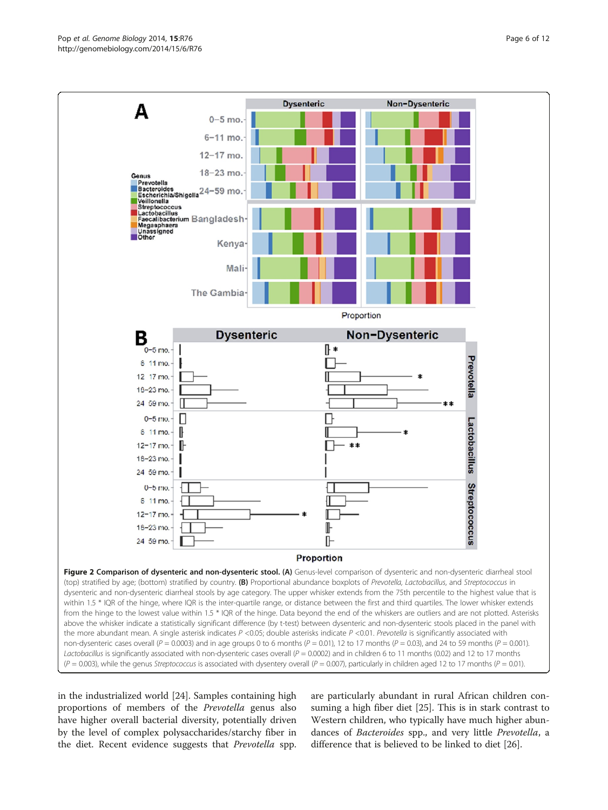<span id="page-5-0"></span>

in the industrialized world [[24](#page-10-0)]. Samples containing high proportions of members of the Prevotella genus also have higher overall bacterial diversity, potentially driven by the level of complex polysaccharides/starchy fiber in the diet. Recent evidence suggests that Prevotella spp.

are particularly abundant in rural African children consuming a high fiber diet [\[25](#page-10-0)]. This is in stark contrast to Western children, who typically have much higher abundances of Bacteroides spp., and very little Prevotella, a difference that is believed to be linked to diet [[26](#page-10-0)].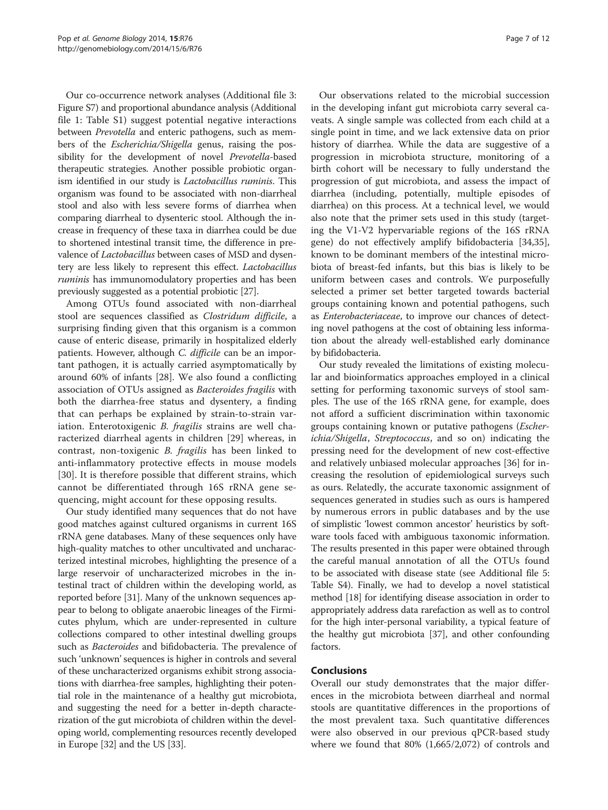Our co-occurrence network analyses (Additional file [3](#page-9-0): Figure S7) and proportional abundance analysis (Additional file [1](#page-9-0): Table S1) suggest potential negative interactions between Prevotella and enteric pathogens, such as members of the Escherichia/Shigella genus, raising the possibility for the development of novel Prevotella-based therapeutic strategies. Another possible probiotic organism identified in our study is Lactobacillus ruminis. This organism was found to be associated with non-diarrheal stool and also with less severe forms of diarrhea when comparing diarrheal to dysenteric stool. Although the increase in frequency of these taxa in diarrhea could be due to shortened intestinal transit time, the difference in prevalence of Lactobacillus between cases of MSD and dysentery are less likely to represent this effect. Lactobacillus ruminis has immunomodulatory properties and has been previously suggested as a potential probiotic [[27](#page-10-0)].

Among OTUs found associated with non-diarrheal stool are sequences classified as Clostridum difficile, a surprising finding given that this organism is a common cause of enteric disease, primarily in hospitalized elderly patients. However, although C. difficile can be an important pathogen, it is actually carried asymptomatically by around 60% of infants [[28\]](#page-10-0). We also found a conflicting association of OTUs assigned as Bacteroides fragilis with both the diarrhea-free status and dysentery, a finding that can perhaps be explained by strain-to-strain variation. Enterotoxigenic B. fragilis strains are well characterized diarrheal agents in children [[29\]](#page-10-0) whereas, in contrast, non-toxigenic B. fragilis has been linked to anti-inflammatory protective effects in mouse models [[30\]](#page-10-0). It is therefore possible that different strains, which cannot be differentiated through 16S rRNA gene sequencing, might account for these opposing results.

Our study identified many sequences that do not have good matches against cultured organisms in current 16S rRNA gene databases. Many of these sequences only have high-quality matches to other uncultivated and uncharacterized intestinal microbes, highlighting the presence of a large reservoir of uncharacterized microbes in the intestinal tract of children within the developing world, as reported before [[31](#page-10-0)]. Many of the unknown sequences appear to belong to obligate anaerobic lineages of the Firmicutes phylum, which are under-represented in culture collections compared to other intestinal dwelling groups such as *Bacteroides* and bifidobacteria. The prevalence of such 'unknown'sequences is higher in controls and several of these uncharacterized organisms exhibit strong associations with diarrhea-free samples, highlighting their potential role in the maintenance of a healthy gut microbiota, and suggesting the need for a better in-depth characterization of the gut microbiota of children within the developing world, complementing resources recently developed in Europe [[32](#page-10-0)] and the US [\[33\]](#page-10-0).

Our observations related to the microbial succession in the developing infant gut microbiota carry several caveats. A single sample was collected from each child at a single point in time, and we lack extensive data on prior history of diarrhea. While the data are suggestive of a progression in microbiota structure, monitoring of a birth cohort will be necessary to fully understand the progression of gut microbiota, and assess the impact of diarrhea (including, potentially, multiple episodes of diarrhea) on this process. At a technical level, we would also note that the primer sets used in this study (targeting the V1-V2 hypervariable regions of the 16S rRNA gene) do not effectively amplify bifidobacteria [\[34,35](#page-10-0)], known to be dominant members of the intestinal microbiota of breast-fed infants, but this bias is likely to be uniform between cases and controls. We purposefully selected a primer set better targeted towards bacterial groups containing known and potential pathogens, such as Enterobacteriaceae, to improve our chances of detecting novel pathogens at the cost of obtaining less information about the already well-established early dominance by bifidobacteria.

Our study revealed the limitations of existing molecular and bioinformatics approaches employed in a clinical setting for performing taxonomic surveys of stool samples. The use of the 16S rRNA gene, for example, does not afford a sufficient discrimination within taxonomic groups containing known or putative pathogens (Escherichia/Shigella, Streptococcus, and so on) indicating the pressing need for the development of new cost-effective and relatively unbiased molecular approaches [[36](#page-10-0)] for increasing the resolution of epidemiological surveys such as ours. Relatedly, the accurate taxonomic assignment of sequences generated in studies such as ours is hampered by numerous errors in public databases and by the use of simplistic 'lowest common ancestor' heuristics by software tools faced with ambiguous taxonomic information. The results presented in this paper were obtained through the careful manual annotation of all the OTUs found to be associated with disease state (see Additional file [5](#page-9-0): Table S4). Finally, we had to develop a novel statistical method [[18](#page-9-0)] for identifying disease association in order to appropriately address data rarefaction as well as to control for the high inter-personal variability, a typical feature of the healthy gut microbiota [[37](#page-10-0)], and other confounding factors.

## Conclusions

Overall our study demonstrates that the major differences in the microbiota between diarrheal and normal stools are quantitative differences in the proportions of the most prevalent taxa. Such quantitative differences were also observed in our previous qPCR-based study where we found that 80% (1,665/2,072) of controls and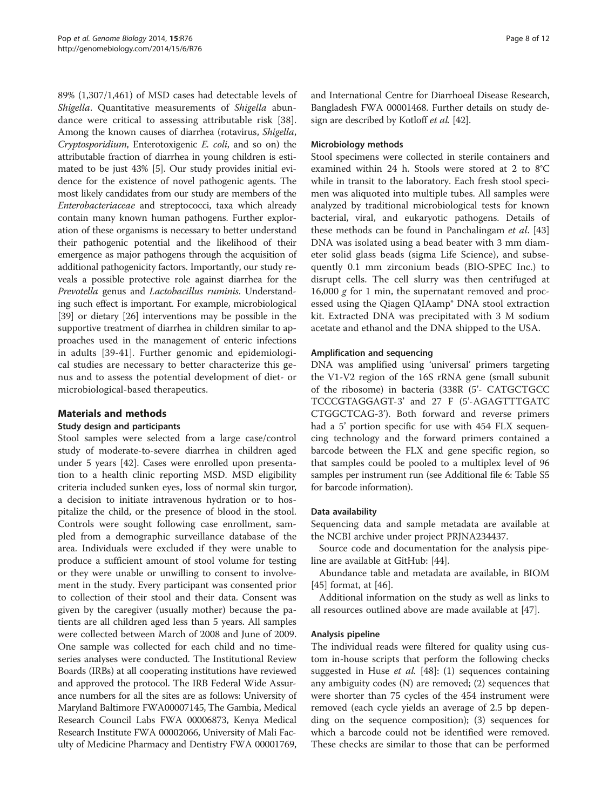89% (1,307/1,461) of MSD cases had detectable levels of Shigella. Quantitative measurements of Shigella abundance were critical to assessing attributable risk [\[38](#page-10-0)]. Among the known causes of diarrhea (rotavirus, Shigella, Cryptosporidium, Enterotoxigenic E. coli, and so on) the attributable fraction of diarrhea in young children is estimated to be just 43% [\[5](#page-9-0)]. Our study provides initial evidence for the existence of novel pathogenic agents. The most likely candidates from our study are members of the Enterobacteriaceae and streptococci, taxa which already contain many known human pathogens. Further exploration of these organisms is necessary to better understand their pathogenic potential and the likelihood of their emergence as major pathogens through the acquisition of additional pathogenicity factors. Importantly, our study reveals a possible protective role against diarrhea for the Prevotella genus and Lactobacillus ruminis. Understanding such effect is important. For example, microbiological [[39](#page-10-0)] or dietary [\[26\]](#page-10-0) interventions may be possible in the supportive treatment of diarrhea in children similar to approaches used in the management of enteric infections in adults [[39-41](#page-10-0)]. Further genomic and epidemiological studies are necessary to better characterize this genus and to assess the potential development of diet- or microbiological-based therapeutics.

## Materials and methods

## Study design and participants

Stool samples were selected from a large case/control study of moderate-to-severe diarrhea in children aged under 5 years [\[42\]](#page-10-0). Cases were enrolled upon presentation to a health clinic reporting MSD. MSD eligibility criteria included sunken eyes, loss of normal skin turgor, a decision to initiate intravenous hydration or to hospitalize the child, or the presence of blood in the stool. Controls were sought following case enrollment, sampled from a demographic surveillance database of the area. Individuals were excluded if they were unable to produce a sufficient amount of stool volume for testing or they were unable or unwilling to consent to involvement in the study. Every participant was consented prior to collection of their stool and their data. Consent was given by the caregiver (usually mother) because the patients are all children aged less than 5 years. All samples were collected between March of 2008 and June of 2009. One sample was collected for each child and no timeseries analyses were conducted. The Institutional Review Boards (IRBs) at all cooperating institutions have reviewed and approved the protocol. The IRB Federal Wide Assurance numbers for all the sites are as follows: University of Maryland Baltimore FWA00007145, The Gambia, Medical Research Council Labs FWA 00006873, Kenya Medical Research Institute FWA 00002066, University of Mali Faculty of Medicine Pharmacy and Dentistry FWA 00001769, and International Centre for Diarrhoeal Disease Research, Bangladesh FWA 00001468. Further details on study de-sign are described by Kotloff et al. [[42](#page-10-0)].

#### Microbiology methods

Stool specimens were collected in sterile containers and examined within 24 h. Stools were stored at 2 to 8°C while in transit to the laboratory. Each fresh stool specimen was aliquoted into multiple tubes. All samples were analyzed by traditional microbiological tests for known bacterial, viral, and eukaryotic pathogens. Details of these methods can be found in Panchalingam et al. [[43](#page-10-0)] DNA was isolated using a bead beater with 3 mm diameter solid glass beads (sigma Life Science), and subsequently 0.1 mm zirconium beads (BIO-SPEC Inc.) to disrupt cells. The cell slurry was then centrifuged at 16,000  $g$  for 1 min, the supernatant removed and processed using the Qiagen QIAamp® DNA stool extraction kit. Extracted DNA was precipitated with 3 M sodium acetate and ethanol and the DNA shipped to the USA.

## Amplification and sequencing

DNA was amplified using 'universal' primers targeting the V1-V2 region of the 16S rRNA gene (small subunit of the ribosome) in bacteria (338R (5'- CATGCTGCC TCCCGTAGGAGT-3' and 27 F (5'-AGAGTTTGATC CTGGCTCAG-3'). Both forward and reverse primers had a 5' portion specific for use with 454 FLX sequencing technology and the forward primers contained a barcode between the FLX and gene specific region, so that samples could be pooled to a multiplex level of 96 samples per instrument run (see Additional file [6:](#page-9-0) Table S5 for barcode information).

## Data availability

Sequencing data and sample metadata are available at the NCBI archive under project PRJNA234437.

Source code and documentation for the analysis pipeline are available at GitHub: [\[44](#page-10-0)].

Abundance table and metadata are available, in BIOM [[45\]](#page-10-0) format, at [\[46\]](#page-10-0).

Additional information on the study as well as links to all resources outlined above are made available at [[47\]](#page-10-0).

## Analysis pipeline

The individual reads were filtered for quality using custom in-house scripts that perform the following checks suggested in Huse *et al.* [\[48\]](#page-10-0): (1) sequences containing any ambiguity codes (N) are removed; (2) sequences that were shorter than 75 cycles of the 454 instrument were removed (each cycle yields an average of 2.5 bp depending on the sequence composition); (3) sequences for which a barcode could not be identified were removed. These checks are similar to those that can be performed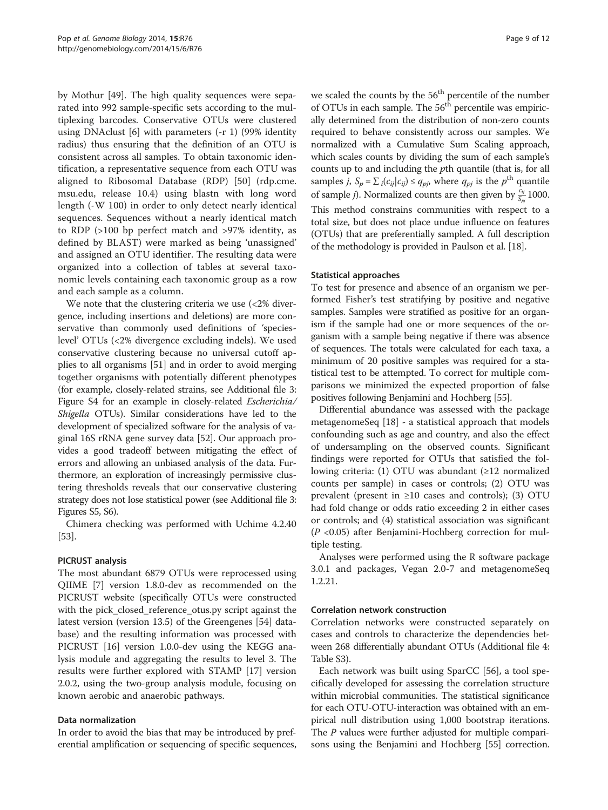by Mothur [[49\]](#page-10-0). The high quality sequences were separated into 992 sample-specific sets according to the multiplexing barcodes. Conservative OTUs were clustered using DNAclust [\[6](#page-9-0)] with parameters (-r 1) (99% identity radius) thus ensuring that the definition of an OTU is consistent across all samples. To obtain taxonomic identification, a representative sequence from each OTU was aligned to Ribosomal Database (RDP) [\[50\]](#page-10-0) (rdp.cme. msu.edu, release 10.4) using blastn with long word length (-W 100) in order to only detect nearly identical sequences. Sequences without a nearly identical match to RDP (>100 bp perfect match and >97% identity, as defined by BLAST) were marked as being 'unassigned' and assigned an OTU identifier. The resulting data were organized into a collection of tables at several taxonomic levels containing each taxonomic group as a row and each sample as a column.

We note that the clustering criteria we use (<2% divergence, including insertions and deletions) are more conservative than commonly used definitions of 'specieslevel' OTUs (<2% divergence excluding indels). We used conservative clustering because no universal cutoff applies to all organisms [\[51](#page-10-0)] and in order to avoid merging together organisms with potentially different phenotypes (for example, closely-related strains, see Additional file [3](#page-9-0): Figure S4 for an example in closely-related Escherichia/ Shigella OTUs). Similar considerations have led to the development of specialized software for the analysis of vaginal 16S rRNA gene survey data [\[52\]](#page-10-0). Our approach provides a good tradeoff between mitigating the effect of errors and allowing an unbiased analysis of the data. Furthermore, an exploration of increasingly permissive clustering thresholds reveals that our conservative clustering strategy does not lose statistical power (see Additional file [3](#page-9-0): Figures S5, S6).

Chimera checking was performed with Uchime 4.2.40 [[53\]](#page-10-0).

## PICRUST analysis

The most abundant 6879 OTUs were reprocessed using QIIME [[7\]](#page-9-0) version 1.8.0-dev as recommended on the PICRUST website (specifically OTUs were constructed with the pick\_closed\_reference\_otus.py script against the latest version (version 13.5) of the Greengenes [[54\]](#page-10-0) database) and the resulting information was processed with PICRUST [[16](#page-9-0)] version 1.0.0-dev using the KEGG analysis module and aggregating the results to level 3. The results were further explored with STAMP [\[17\]](#page-9-0) version 2.0.2, using the two-group analysis module, focusing on known aerobic and anaerobic pathways.

#### Data normalization

In order to avoid the bias that may be introduced by preferential amplification or sequencing of specific sequences,

we scaled the counts by the 56<sup>th</sup> percentile of the number of OTUs in each sample. The 56<sup>th</sup> percentile was empirically determined from the distribution of non-zero counts required to behave consistently across our samples. We normalized with a Cumulative Sum Scaling approach, which scales counts by dividing the sum of each sample's counts up to and including the *th quantile (that is, for all* samples *j*,  $S_p = \sum_i (c_{ij}|c_{ij}) \le q_{pj}$ , where  $q_{pj}$  is the  $p^{\text{th}}$  quantile of sample *j*). Normalized counts are then given by  $\frac{c_{ij}}{S_{pj}}$  1000.

This method constrains communities with respect to a total size, but does not place undue influence on features (OTUs) that are preferentially sampled. A full description of the methodology is provided in Paulson et al. [\[18\]](#page-9-0).

## Statistical approaches

To test for presence and absence of an organism we performed Fisher's test stratifying by positive and negative samples. Samples were stratified as positive for an organism if the sample had one or more sequences of the organism with a sample being negative if there was absence of sequences. The totals were calculated for each taxa, a minimum of 20 positive samples was required for a statistical test to be attempted. To correct for multiple comparisons we minimized the expected proportion of false positives following Benjamini and Hochberg [\[55\]](#page-10-0).

Differential abundance was assessed with the package metagenomeSeq [[18\]](#page-9-0) - a statistical approach that models confounding such as age and country, and also the effect of undersampling on the observed counts. Significant findings were reported for OTUs that satisfied the following criteria: (1) OTU was abundant (≥12 normalized counts per sample) in cases or controls; (2) OTU was prevalent (present in  $\geq 10$  cases and controls); (3) OTU had fold change or odds ratio exceeding 2 in either cases or controls; and (4) statistical association was significant  $(P \le 0.05)$  after Benjamini-Hochberg correction for multiple testing.

Analyses were performed using the R software package 3.0.1 and packages, Vegan 2.0-7 and metagenomeSeq 1.2.21.

## Correlation network construction

Correlation networks were constructed separately on cases and controls to characterize the dependencies between 268 differentially abundant OTUs (Additional file [4](#page-9-0): Table S3).

Each network was built using SparCC [\[56](#page-11-0)], a tool specifically developed for assessing the correlation structure within microbial communities. The statistical significance for each OTU-OTU-interaction was obtained with an empirical null distribution using 1,000 bootstrap iterations. The P values were further adjusted for multiple comparisons using the Benjamini and Hochberg [[55](#page-10-0)] correction.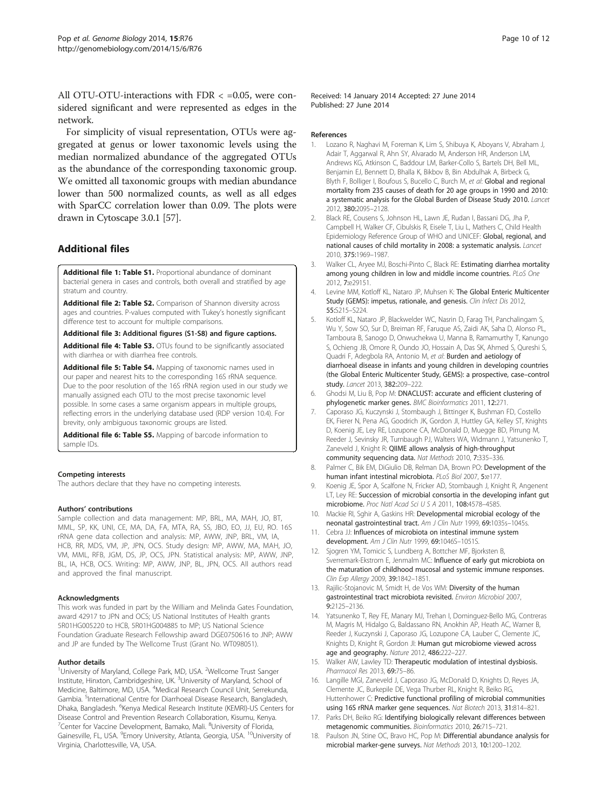<span id="page-9-0"></span>All OTU-OTU-interactions with FDR  $<$  =0.05, were considered significant and were represented as edges in the network.

For simplicity of visual representation, OTUs were aggregated at genus or lower taxonomic levels using the median normalized abundance of the aggregated OTUs as the abundance of the corresponding taxonomic group. We omitted all taxonomic groups with median abundance lower than 500 normalized counts, as well as all edges with SparCC correlation lower than 0.09. The plots were drawn in Cytoscape 3.0.1 [[57](#page-11-0)].

## Additional files

[Additional file 1: Table S1.](http://www.biomedcentral.com/content/supplementary/gb-2014-15-6-r76-S1.xlsx) Proportional abundance of dominant bacterial genera in cases and controls, both overall and stratified by age stratum and country.

[Additional file 2: Table S2.](http://www.biomedcentral.com/content/supplementary/gb-2014-15-6-r76-S2.xls) Comparison of Shannon diversity across ages and countries. P-values computed with Tukey's honestly significant difference test to account for multiple comparisons.

[Additional file 3:](http://www.biomedcentral.com/content/supplementary/gb-2014-15-6-r76-S3.docx) Additional figures (S1-S8) and figure captions.

[Additional file 4: Table S3.](http://www.biomedcentral.com/content/supplementary/gb-2014-15-6-r76-S4.xlsx) OTUs found to be significantly associated with diarrhea or with diarrhea free controls.

[Additional file 5: Table S4.](http://www.biomedcentral.com/content/supplementary/gb-2014-15-6-r76-S5.docx) Mapping of taxonomic names used in our paper and nearest hits to the corresponding 16S rRNA sequence. Due to the poor resolution of the 16S rRNA region used in our study we manually assigned each OTU to the most precise taxonomic level possible. In some cases a same organism appears in multiple groups reflecting errors in the underlying database used (RDP version 10.4). For brevity, only ambiguous taxonomic groups are listed.

[Additional file 6: Table S5.](http://www.biomedcentral.com/content/supplementary/gb-2014-15-6-r76-S6.xlsx) Mapping of barcode information to sample IDs.

#### Competing interests

The authors declare that they have no competing interests.

#### Authors' contributions

Sample collection and data management: MP, BRL, MA, MAH, JO, BT, MML, SP, KK, UNI, CE, MA, DA, FA, MTA, RA, SS, JBO, EO, JJ, EU, RO. 16S rRNA gene data collection and analysis: MP, AWW, JNP, BRL, VM, IA, HCB, RR, MDS, VM, JP, JPN, OCS. Study design: MP, AWW, MA, MAH, JO, VM, MML, RFB, JGM, DS, JP, OCS, JPN. Statistical analysis: MP, AWW, JNP, BL, IA, HCB, OCS. Writing: MP, AWW, JNP, BL, JPN, OCS. All authors read and approved the final manuscript.

#### Acknowledgments

This work was funded in part by the William and Melinda Gates Foundation, award 42917 to JPN and OCS; US National Institutes of Health grants 5R01HG005220 to HCB, 5R01HG004885 to MP; US National Science Foundation Graduate Research Fellowship award DGE0750616 to JNP; AWW and JP are funded by The Wellcome Trust (Grant No. WT098051).

#### Author details

<sup>1</sup>University of Maryland, College Park, MD, USA. <sup>2</sup>Wellcome Trust Sanger Institute, Hinxton, Cambridgeshire, UK. <sup>3</sup>University of Maryland, School of Medicine, Baltimore, MD, USA. <sup>4</sup>Medical Research Council Unit, Serrekunda, Gambia. <sup>5</sup>International Centre for Diarrhoeal Disease Research, Bangladesh, Dhaka, Bangladesh. <sup>6</sup>Kenya Medical Research Institute (KEMRI)-US Centers for Disease Control and Prevention Research Collaboration, Kisumu, Kenya. <sup>7</sup> Center for Vaccine Development, Bamako, Mali. <sup>8</sup> University of Florida, Gainesville, FL, USA. <sup>9</sup>Emory University, Atlanta, Georgia, USA. <sup>10</sup>University of Virginia, Charlottesville, VA, USA.

Received: 14 January 2014 Accepted: 27 June 2014 Published: 27 June 2014

#### References

- 1. Lozano R, Naghavi M, Foreman K, Lim S, Shibuya K, Aboyans V, Abraham J, Adair T, Aggarwal R, Ahn SY, Alvarado M, Anderson HR, Anderson LM, Andrews KG, Atkinson C, Baddour LM, Barker-Collo S, Bartels DH, Bell ML, Benjamin EJ, Bennett D, Bhalla K, Bikbov B, Bin Abdulhak A, Birbeck G, Blyth F, Bolliger I, Boufous S, Bucello C, Burch M, et al: Global and regional mortality from 235 causes of death for 20 age groups in 1990 and 2010: a systematic analysis for the Global Burden of Disease Study 2010. Lancet 2012, 380:2095–2128.
- 2. Black RE, Cousens S, Johnson HL, Lawn JE, Rudan I, Bassani DG, Jha P, Campbell H, Walker CF, Cibulskis R, Eisele T, Liu L, Mathers C, Child Health Epidemiology Reference Group of WHO and UNICEF: Global, regional, and national causes of child mortality in 2008: a systematic analysis. Lancet 2010, 375:1969–1987.
- 3. Walker CL, Aryee MJ, Boschi-Pinto C, Black RE: Estimating diarrhea mortality among young children in low and middle income countries. PLoS One 2012, 7:e29151.
- 4. Levine MM, Kotloff KL, Nataro JP, Muhsen K: The Global Enteric Multicenter Study (GEMS): impetus, rationale, and genesis. Clin Infect Dis 2012, 55:S215–S224.
- 5. Kotloff KL, Nataro JP, Blackwelder WC, Nasrin D, Farag TH, Panchalingam S, Wu Y, Sow SO, Sur D, Breiman RF, Faruque AS, Zaidi AK, Saha D, Alonso PL, Tamboura B, Sanogo D, Onwuchekwa U, Manna B, Ramamurthy T, Kanungo S, Ochieng JB, Omore R, Oundo JO, Hossain A, Das SK, Ahmed S, Qureshi S, Quadri F, Adegbola RA, Antonio M, et al: Burden and aetiology of diarrhoeal disease in infants and young children in developing countries (the Global Enteric Multicenter Study, GEMS): a prospective, case–control study. Lancet 2013, 382:209–222.
- 6. Ghodsi M, Liu B, Pop M: DNACLUST: accurate and efficient clustering of phylogenetic marker genes. BMC Bioinformatics 2011, 12:271.
- 7. Caporaso JG, Kuczynski J, Stombaugh J, Bittinger K, Bushman FD, Costello EK, Fierer N, Pena AG, Goodrich JK, Gordon JI, Huttley GA, Kelley ST, Knights D, Koenig JE, Ley RE, Lozupone CA, McDonald D, Muegge BD, Pirrung M, Reeder J, Sevinsky JR, Turnbaugh PJ, Walters WA, Widmann J, Yatsunenko T, Zaneveld J, Knight R: QIIME allows analysis of high-throughput community sequencing data. Nat Methods 2010, 7:335–336.
- 8. Palmer C, Bik EM, DiGiulio DB, Relman DA, Brown PO: Development of the human infant intestinal microbiota. PLoS Biol 2007, 5:e177.
- 9. Koenig JE, Spor A, Scalfone N, Fricker AD, Stombaugh J, Knight R, Angenent LT, Ley RE: Succession of microbial consortia in the developing infant gut microbiome. Proc Natl Acad Sci U S A 2011, 108:4578–4585.
- 10. Mackie RI, Sghir A, Gaskins HR: Developmental microbial ecology of the neonatal gastrointestinal tract. Am J Clin Nutr 1999, 69:1035s–1045s.
- 11. Cebra JJ: Influences of microbiota on intestinal immune system development. Am J Clin Nutr 1999, 69:1046S–1051S.
- 12. Sjogren YM, Tomicic S, Lundberg A, Bottcher MF, Bjorksten B, Sverremark-Ekstrom E, Jenmalm MC: Influence of early gut microbiota on the maturation of childhood mucosal and systemic immune responses. Clin Exp Allergy 2009, 39:1842–1851.
- 13. Rajilic-Stojanovic M, Smidt H, de Vos WM: Diversity of the human gastrointestinal tract microbiota revisited. Environ Microbiol 2007, 9:2125–2136.
- 14. Yatsunenko T, Rey FE, Manary MJ, Trehan I, Dominguez-Bello MG, Contreras M, Magris M, Hidalgo G, Baldassano RN, Anokhin AP, Heath AC, Warner B, Reeder J, Kuczynski J, Caporaso JG, Lozupone CA, Lauber C, Clemente JC, Knights D, Knight R, Gordon JI: Human gut microbiome viewed across age and geography. Nature 2012, 486:222–227.
- 15. Walker AW, Lawley TD: Therapeutic modulation of intestinal dysbiosis. Pharmacol Res 2013, 69:75–86.
- 16. Langille MGI, Zaneveld J, Caporaso JG, McDonald D, Knights D, Reyes JA, Clemente JC, Burkepile DE, Vega Thurber RL, Knight R, Beiko RG, Huttenhower C: Predictive functional profiling of microbial communities using 16S rRNA marker gene sequences. Nat Biotech 2013, 31:814-821.
- 17. Parks DH, Beiko RG: Identifying biologically relevant differences between metagenomic communities. Bioinformatics 2010, 26:715–721.
- 18. Paulson JN, Stine OC, Bravo HC, Pop M: Differential abundance analysis for microbial marker-gene surveys. Nat Methods 2013, 10:1200–1202.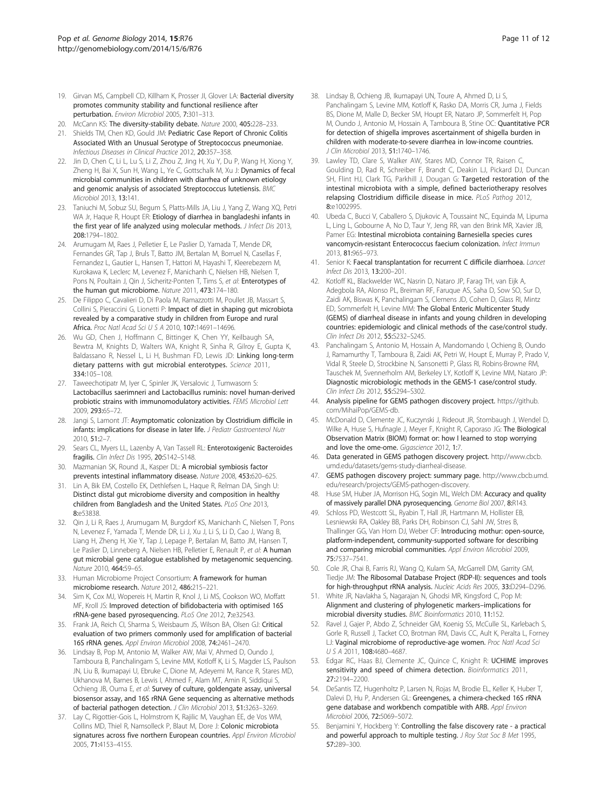- <span id="page-10-0"></span>19. Girvan MS, Campbell CD, Killham K, Prosser JI, Glover LA: Bacterial diversity promotes community stability and functional resilience after perturbation. Environ Microbiol 2005, 7:301–313.
- 20. McCann KS: The diversity-stability debate. Nature 2000, 405:228-233.
- 21. Shields TM, Chen KD, Gould JM: Pediatric Case Report of Chronic Colitis Associated With an Unusual Serotype of Streptococcus pneumoniae. Infectious Diseases in Clinical Practice 2012, 20:357–358.
- 22. Jin D, Chen C, Li L, Lu S, Li Z, Zhou Z, Jing H, Xu Y, Du P, Wang H, Xiong Y, Zheng H, Bai X, Sun H, Wang L, Ye C, Gottschalk M, Xu J: Dynamics of fecal microbial communities in children with diarrhea of unknown etiology and genomic analysis of associated Streptococcus lutetiensis. BMC Microbiol 2013, 13:141.
- 23. Taniuchi M, Sobuz SU, Begum S, Platts-Mills JA, Liu J, Yang Z, Wang XQ, Petri WA Jr, Haque R, Houpt ER: Etiology of diarrhea in bangladeshi infants in the first year of life analyzed using molecular methods. J Infect Dis 2013, 208:1794–1802.
- 24. Arumugam M, Raes J, Pelletier E, Le Paslier D, Yamada T, Mende DR, Fernandes GR, Tap J, Bruls T, Batto JM, Bertalan M, Borruel N, Casellas F, Fernandez L, Gautier L, Hansen T, Hattori M, Hayashi T, Kleerebezem M, Kurokawa K, Leclerc M, Levenez F, Manichanh C, Nielsen HB, Nielsen T, Pons N, Poultain J, Qin J, Sicheritz-Ponten T, Tims S, et al: Enterotypes of the human gut microbiome. Nature 2011, 473:174–180.
- 25. De Filippo C, Cavalieri D, Di Paola M, Ramazzotti M, Poullet JB, Massart S, Collini S, Pieraccini G, Lionetti P: Impact of diet in shaping gut microbiota revealed by a comparative study in children from Europe and rural Africa. Proc Natl Acad Sci U S A 2010, 107:14691–14696.
- 26. Wu GD, Chen J, Hoffmann C, Bittinger K, Chen YY, Keilbaugh SA, Bewtra M, Knights D, Walters WA, Knight R, Sinha R, Gilroy E, Gupta K, Baldassano R, Nessel L, Li H, Bushman FD, Lewis JD: Linking long-term dietary patterns with gut microbial enterotypes. Science 2011, 334:105–108.
- 27. Taweechotipatr M, Iyer C, Spinler JK, Versalovic J, Tumwasorn S: Lactobacillus saerimneri and Lactobacillus ruminis: novel human-derived probiotic strains with immunomodulatory activities. FEMS Microbiol Lett 2009, 293:65–72.
- 28. Jangi S, Lamont JT: Asymptomatic colonization by Clostridium difficile in infants: implications for disease in later life. J Pediatr Gastroenterol Nutr 2010, 51:2–7.
- 29. Sears CL, Myers LL, Lazenby A, Van Tassell RL: Enterotoxigenic Bacteroides fragilis. Clin Infect Dis 1995, 20:S142–S148.
- 30. Mazmanian SK, Round JL, Kasper DL: A microbial symbiosis factor prevents intestinal inflammatory disease. Nature 2008, 453:620–625.
- 31. Lin A, Bik EM, Costello EK, Dethlefsen L, Haque R, Relman DA, Singh U: Distinct distal gut microbiome diversity and composition in healthy children from Bangladesh and the United States. PLoS One 2013, 8:e53838.
- 32. Qin J, Li R, Raes J, Arumugam M, Burgdorf KS, Manichanh C, Nielsen T, Pons N, Levenez F, Yamada T, Mende DR, Li J, Xu J, Li S, Li D, Cao J, Wang B, Liang H, Zheng H, Xie Y, Tap J, Lepage P, Bertalan M, Batto JM, Hansen T, Le Paslier D, Linneberg A, Nielsen HB, Pelletier E, Renault P, et al: A human gut microbial gene catalogue established by metagenomic sequencing. Nature 2010, 464:59–65.
- 33. Human Microbiome Project Consortium: A framework for human microbiome research. Nature 2012, 486:215–221.
- 34. Sim K, Cox MJ, Wopereis H, Martin R, Knol J, Li MS, Cookson WO, Moffatt MF, Kroll JS: Improved detection of bifidobacteria with optimised 16S rRNA-gene based pyrosequencing. PLoS One 2012, 7:e32543.
- 35. Frank JA, Reich CI, Sharma S, Weisbaum JS, Wilson BA, Olsen GJ: Critical evaluation of two primers commonly used for amplification of bacterial 16S rRNA genes. Appl Environ Microbiol 2008, 74:2461–2470.
- 36. Lindsay B, Pop M, Antonio M, Walker AW, Mai V, Ahmed D, Oundo J, Tamboura B, Panchalingam S, Levine MM, Kotloff K, Li S, Magder LS, Paulson JN, Liu B, Ikumapayi U, Ebruke C, Dione M, Adeyemi M, Rance R, Stares MD, Ukhanova M, Barnes B, Lewis I, Ahmed F, Alam MT, Amin R, Siddiqui S, Ochieng JB, Ouma E, et al: Survey of culture, goldengate assay, universal biosensor assay, and 16S rRNA Gene sequencing as alternative methods of bacterial pathogen detection. J Clin Microbiol 2013, 51:3263-3269.
- 37. Lay C, Rigottier-Gois L, Holmstrom K, Rajilic M, Vaughan EE, de Vos WM, Collins MD, Thiel R, Namsolleck P, Blaut M, Dore J: Colonic microbiota signatures across five northern European countries. Appl Environ Microbiol 2005, 71:4153–4155.
- 38. Lindsay B, Ochieng JB, Ikumapayi UN, Toure A, Ahmed D, Li S, Panchalingam S, Levine MM, Kotloff K, Rasko DA, Morris CR, Juma J, Fields BS, Dione M, Malle D, Becker SM, Houpt ER, Nataro JP, Sommerfelt H, Pop M, Oundo J, Antonio M, Hossain A, Tamboura B, Stine OC: Quantitative PCR for detection of shigella improves ascertainment of shigella burden in children with moderate-to-severe diarrhea in low-income countries. J Clin Microbiol 2013, 51:1740–1746.
- 39. Lawley TD, Clare S, Walker AW, Stares MD, Connor TR, Raisen C, Goulding D, Rad R, Schreiber F, Brandt C, Deakin LJ, Pickard DJ, Duncan SH, Flint HJ, Clark TG, Parkhill J, Dougan G: Targeted restoration of the intestinal microbiota with a simple, defined bacteriotherapy resolves relapsing Clostridium difficile disease in mice. PLoS Pathog 2012, 8:e1002995.
- 40. Ubeda C, Bucci V, Caballero S, Djukovic A, Toussaint NC, Equinda M, Lipuma L, Ling L, Gobourne A, No D, Taur Y, Jeng RR, van den Brink MR, Xavier JB, Pamer EG: Intestinal microbiota containing Barnesiella species cures vancomycin-resistant Enterococcus faecium colonization. Infect Immun 2013, 81:965–973.
- 41. Senior K: Faecal transplantation for recurrent C difficile diarrhoea. Lancet Infect Dis 2013, 13:200–201.
- 42. Kotloff KL, Blackwelder WC, Nasrin D, Nataro JP, Farag TH, van Eijk A, Adegbola RA, Alonso PL, Breiman RF, Faruque AS, Saha D, Sow SO, Sur D, Zaidi AK, Biswas K, Panchalingam S, Clemens JD, Cohen D, Glass RI, Mintz ED, Sommerfelt H, Levine MM: The Global Enteric Multicenter Study (GEMS) of diarrheal disease in infants and young children in developing countries: epidemiologic and clinical methods of the case/control study. Clin Infect Dis 2012, 55:S232–S245.
- 43. Panchalingam S, Antonio M, Hossain A, Mandomando I, Ochieng B, Oundo J, Ramamurthy T, Tamboura B, Zaidi AK, Petri W, Houpt E, Murray P, Prado V, Vidal R, Steele D, Strockbine N, Sansonetti P, Glass RI, Robins-Browne RM, Tauschek M, Svennerholm AM, Berkeley LY, Kotloff K, Levine MM, Nataro JP: Diagnostic microbiologic methods in the GEMS-1 case/control study. Clin Infect Dis 2012, 55:S294–S302.
- 44. Analysis pipeline for GEMS pathogen discovery project. [https://github.](https://github.com/MihaiPop/GEMS-db) [com/MihaiPop/GEMS-db](https://github.com/MihaiPop/GEMS-db).
- 45. McDonald D, Clemente JC, Kuczynski J, Rideout JR, Stombaugh J, Wendel D, Wilke A, Huse S, Hufnagle J, Meyer F, Knight R, Caporaso JG: The Biological Observation Matrix (BIOM) format or: how I learned to stop worrying and love the ome-ome. Gigascience 2012, 1:7.
- 46. Data generated in GEMS pathogen discovery project. [http://www.cbcb.](http://www.cbcb.umd.edu/datasets/gems-study-diarrheal-disease) [umd.edu/datasets/gems-study-diarrheal-disease.](http://www.cbcb.umd.edu/datasets/gems-study-diarrheal-disease)
- 47. GEMS pathogen discovery project: summary page. [http://www.cbcb.umd.](http://www.cbcb.umd.edu/research/projects/GEMS-pathogen-discovery) [edu/research/projects/GEMS-pathogen-discovery](http://www.cbcb.umd.edu/research/projects/GEMS-pathogen-discovery).
- 48. Huse SM, Huber JA, Morrison HG, Sogin ML, Welch DM: Accuracy and quality of massively parallel DNA pyrosequencing. Genome Biol 2007, 8:R143.
- 49. Schloss PD, Westcott SL, Ryabin T, Hall JR, Hartmann M, Hollister EB, Lesniewski RA, Oakley BB, Parks DH, Robinson CJ, Sahl JW, Stres B, Thallinger GG, Van Horn DJ, Weber CF: Introducing mothur: open-source, platform-independent, community-supported software for describing and comparing microbial communities. Appl Environ Microbiol 2009, 75:7537–7541.
- 50. Cole JR, Chai B, Farris RJ, Wang Q, Kulam SA, McGarrell DM, Garrity GM, Tiedje JM: The Ribosomal Database Project (RDP-II): sequences and tools for high-throughput rRNA analysis. Nucleic Acids Res 2005, 33:D294–D296.
- 51. White JR, Navlakha S, Nagarajan N, Ghodsi MR, Kingsford C, Pop M: Alignment and clustering of phylogenetic markers–implications for microbial diversity studies. BMC Bioinformatics 2010, 11:152.
- 52. Ravel J, Gajer P, Abdo Z, Schneider GM, Koenig SS, McCulle SL, Karlebach S, Gorle R, Russell J, Tacket CO, Brotman RM, Davis CC, Ault K, Peralta L, Forney LJ: Vaginal microbiome of reproductive-age women. Proc Natl Acad Sci USA 2011, 108:4680–4687.
- 53. Edgar RC, Haas BJ, Clemente JC, Quince C, Knight R: UCHIME improves sensitivity and speed of chimera detection. Bioinformatics 2011, 27:2194–2200.
- 54. DeSantis TZ, Hugenholtz P, Larsen N, Rojas M, Brodie EL, Keller K, Huber T, Dalevi D, Hu P, Andersen GL: Greengenes, a chimera-checked 16S rRNA gene database and workbench compatible with ARB. Appl Environ Microbiol 2006, 72:5069–5072.
- 55. Benjamini Y, Hockberg Y: Controlling the false discovery rate a practical and powerful approach to multiple testing. J Roy Stat Soc B Met 1995, 57:289–300.